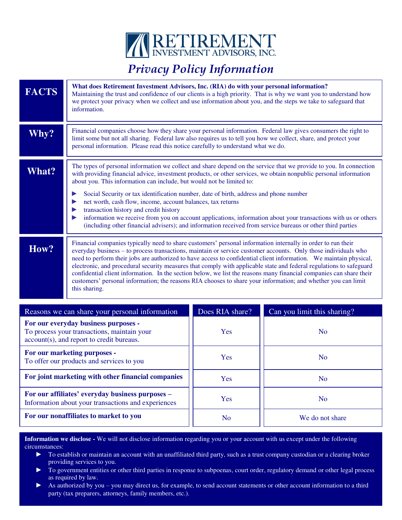

## *Privacy Policy Information*

| <b>FACTS</b>                                                                                                                     | What does Retirement Investment Advisors, Inc. (RIA) do with your personal information?<br>Maintaining the trust and confidence of our clients is a high priority. That is why we want you to understand how<br>we protect your privacy when we collect and use information about you, and the steps we take to safeguard that<br>information.                                                                                                                                                                                                                                                                                                                                                                                       |                 |                             |  |
|----------------------------------------------------------------------------------------------------------------------------------|--------------------------------------------------------------------------------------------------------------------------------------------------------------------------------------------------------------------------------------------------------------------------------------------------------------------------------------------------------------------------------------------------------------------------------------------------------------------------------------------------------------------------------------------------------------------------------------------------------------------------------------------------------------------------------------------------------------------------------------|-----------------|-----------------------------|--|
| Why?                                                                                                                             | Financial companies choose how they share your personal information. Federal law gives consumers the right to<br>limit some but not all sharing. Federal law also requires us to tell you how we collect, share, and protect your<br>personal information. Please read this notice carefully to understand what we do.                                                                                                                                                                                                                                                                                                                                                                                                               |                 |                             |  |
| <b>What?</b>                                                                                                                     | The types of personal information we collect and share depend on the service that we provide to you. In connection<br>with providing financial advice, investment products, or other services, we obtain nonpublic personal information<br>about you. This information can include, but would not be limited to:<br>Social Security or tax identification number, date of birth, address and phone number<br>▶                                                                                                                                                                                                                                                                                                                       |                 |                             |  |
|                                                                                                                                  | net worth, cash flow, income, account balances, tax returns<br>▶<br>transaction history and credit history<br>▶<br>information we receive from you on account applications, information about your transactions with us or others<br>▶<br>(including other financial advisers); and information received from service bureaus or other third parties                                                                                                                                                                                                                                                                                                                                                                                 |                 |                             |  |
| How?                                                                                                                             | Financial companies typically need to share customers' personal information internally in order to run their<br>everyday business - to process transactions, maintain or service customer accounts. Only those individuals who<br>need to perform their jobs are authorized to have access to confidential client information. We maintain physical,<br>electronic, and procedural security measures that comply with applicable state and federal regulations to safeguard<br>confidential client information. In the section below, we list the reasons many financial companies can share their<br>customers' personal information; the reasons RIA chooses to share your information; and whether you can limit<br>this sharing. |                 |                             |  |
|                                                                                                                                  | Reasons we can share your personal information                                                                                                                                                                                                                                                                                                                                                                                                                                                                                                                                                                                                                                                                                       | Does RIA share? | Can you limit this sharing? |  |
| For our everyday business purposes -<br>To process your transactions, maintain your<br>account(s), and report to credit bureaus. |                                                                                                                                                                                                                                                                                                                                                                                                                                                                                                                                                                                                                                                                                                                                      | Yes             | N <sub>o</sub>              |  |
| For our marketing purposes -<br>To offer our products and services to you                                                        |                                                                                                                                                                                                                                                                                                                                                                                                                                                                                                                                                                                                                                                                                                                                      | Yes             | N <sub>o</sub>              |  |
| For joint marketing with other financial companies                                                                               |                                                                                                                                                                                                                                                                                                                                                                                                                                                                                                                                                                                                                                                                                                                                      | Yes             | N <sub>o</sub>              |  |
| For our affiliates' everyday business purposes -<br>Information about your transactions and experiences                          |                                                                                                                                                                                                                                                                                                                                                                                                                                                                                                                                                                                                                                                                                                                                      | Yes             | N <sub>o</sub>              |  |
| For our nonaffiliates to market to you                                                                                           |                                                                                                                                                                                                                                                                                                                                                                                                                                                                                                                                                                                                                                                                                                                                      | <b>No</b>       | We do not share             |  |

**Information we disclose -** We will not disclose information regarding you or your account with us except under the following circumstances:

- ► To establish or maintain an account with an unaffiliated third party, such as a trust company custodian or a clearing broker providing services to you.
- ► To government entities or other third parties in response to subpoenas, court order, regulatory demand or other legal process as required by law.
- ► As authorized by you you may direct us, for example, to send account statements or other account information to a third party (tax preparers, attorneys, family members, etc.).